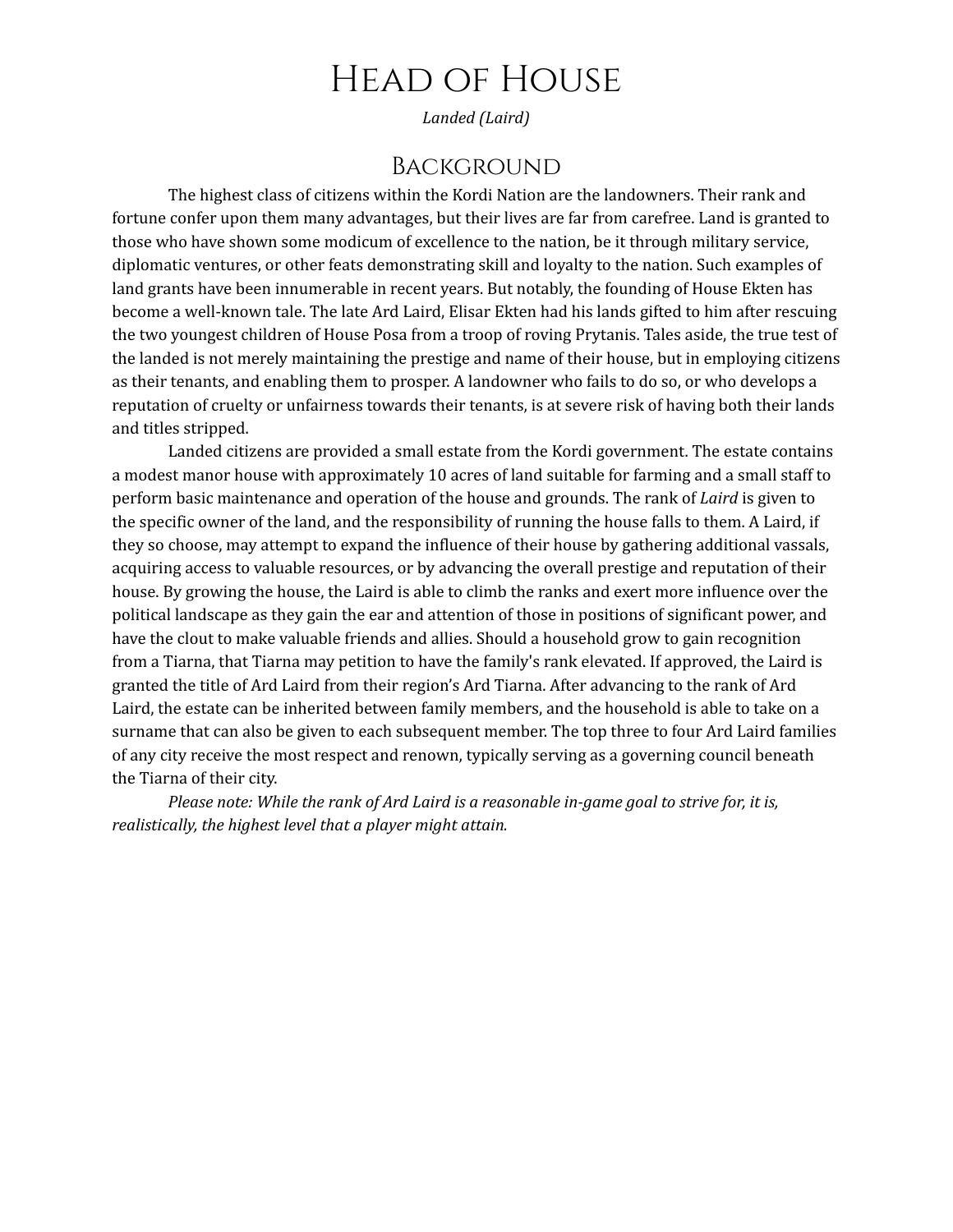# Head of House

*Landed (Laird)*

#### **BACKGROUND**

The highest class of citizens within the Kordi Nation are the landowners. Their rank and fortune confer upon them many advantages, but their lives are far from carefree. Land is granted to those who have shown some modicum of excellence to the nation, be it through military service, diplomatic ventures, or other feats demonstrating skill and loyalty to the nation. Such examples of land grants have been innumerable in recent years. But notably, the founding of House Ekten has become a well-known tale. The late Ard Laird, Elisar Ekten had his lands gifted to him after rescuing the two youngest children of House Posa from a troop of roving Prytanis. Tales aside, the true test of the landed is not merely maintaining the prestige and name of their house, but in employing citizens as their tenants, and enabling them to prosper. A landowner who fails to do so, or who develops a reputation of cruelty or unfairness towards their tenants, is at severe risk of having both their lands and titles stripped.

Landed citizens are provided a small estate from the Kordi government. The estate contains a modest manor house with approximately 10 acres of land suitable for farming and a small staff to perform basic maintenance and operation of the house and grounds. The rank of *Laird* is given to the specific owner of the land, and the responsibility of running the house falls to them. A Laird, if they so choose, may attempt to expand the influence of their house by gathering additional vassals, acquiring access to valuable resources, or by advancing the overall prestige and reputation of their house. By growing the house, the Laird is able to climb the ranks and exert more influence over the political landscape as they gain the ear and attention of those in positions of significant power, and have the clout to make valuable friends and allies. Should a household grow to gain recognition from a Tiarna, that Tiarna may petition to have the family's rank elevated. If approved, the Laird is granted the title of Ard Laird from their region's Ard Tiarna. After advancing to the rank of Ard Laird, the estate can be inherited between family members, and the household is able to take on a surname that can also be given to each subsequent member. The top three to four Ard Laird families of any city receive the most respect and renown, typically serving as a governing council beneath the Tiarna of their city.

*Please note: While the rank of Ard Laird is a reasonable in-game goal to strive for, it is, realistically, the highest level that a player might attain.*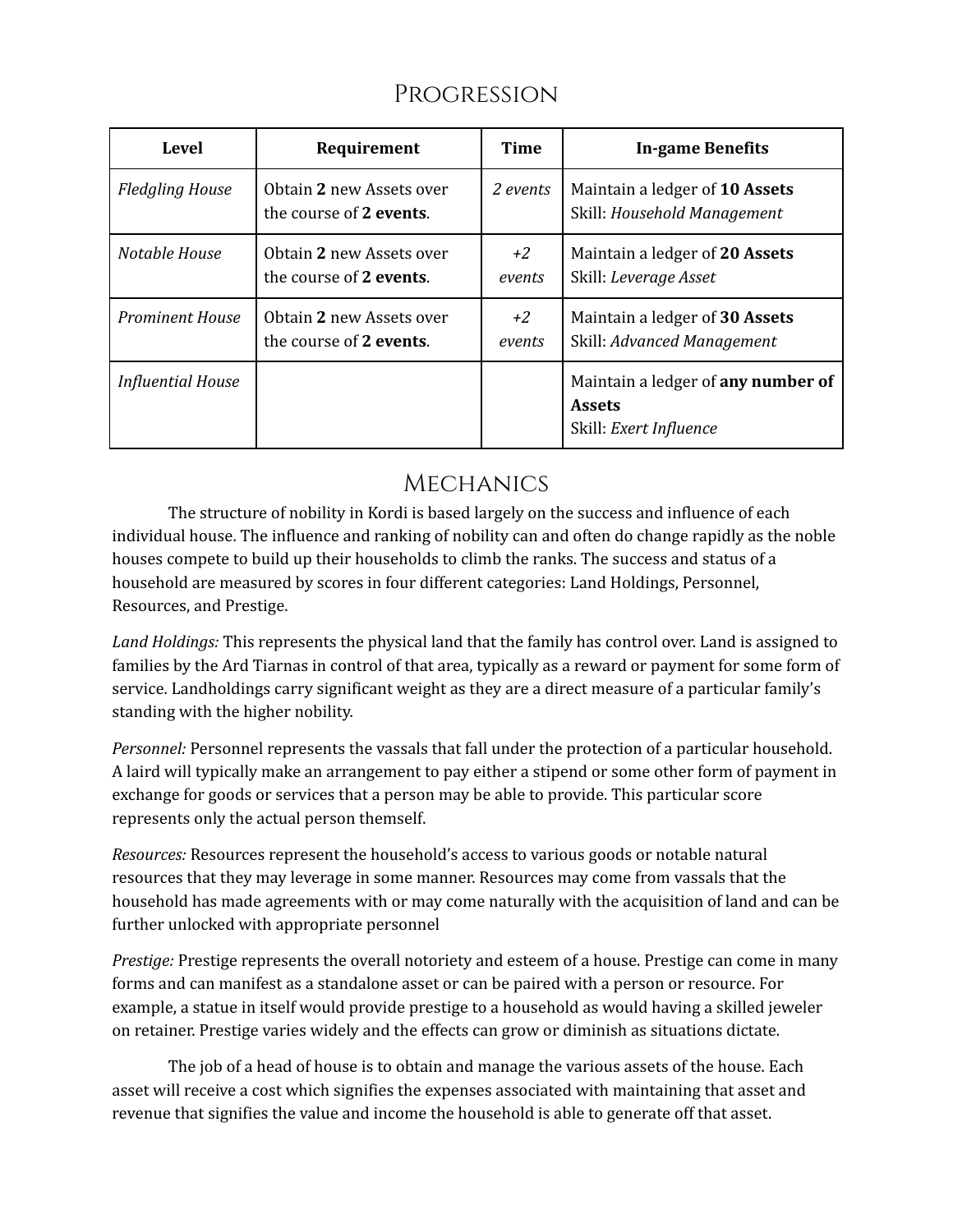## Progression

| Level                    | Requirement                                         | Time         | <b>In-game Benefits</b>                                                       |
|--------------------------|-----------------------------------------------------|--------------|-------------------------------------------------------------------------------|
| <b>Fledgling House</b>   | Obtain 2 new Assets over<br>the course of 2 events. | 2 events     | Maintain a ledger of 10 Assets<br>Skill: Household Management                 |
| Notable House            | Obtain 2 new Assets over<br>the course of 2 events. | +2<br>events | Maintain a ledger of 20 Assets<br>Skill: Leverage Asset                       |
| <b>Prominent House</b>   | Obtain 2 new Assets over<br>the course of 2 events. | +2<br>events | Maintain a ledger of 30 Assets<br>Skill: Advanced Management                  |
| <b>Influential House</b> |                                                     |              | Maintain a ledger of any number of<br><b>Assets</b><br>Skill: Exert Influence |

# **MECHANICS**

The structure of nobility in Kordi is based largely on the success and influence of each individual house. The influence and ranking of nobility can and often do change rapidly as the noble houses compete to build up their households to climb the ranks. The success and status of a household are measured by scores in four different categories: Land Holdings, Personnel, Resources, and Prestige.

*Land Holdings:* This represents the physical land that the family has control over. Land is assigned to families by the Ard Tiarnas in control of that area, typically as a reward or payment for some form of service. Landholdings carry significant weight as they are a direct measure of a particular family's standing with the higher nobility.

*Personnel:* Personnel represents the vassals that fall under the protection of a particular household. A laird will typically make an arrangement to pay either a stipend or some other form of payment in exchange for goods or services that a person may be able to provide. This particular score represents only the actual person themself.

*Resources:* Resources represent the household's access to various goods or notable natural resources that they may leverage in some manner. Resources may come from vassals that the household has made agreements with or may come naturally with the acquisition of land and can be further unlocked with appropriate personnel

*Prestige:* Prestige represents the overall notoriety and esteem of a house. Prestige can come in many forms and can manifest as a standalone asset or can be paired with a person or resource. For example, a statue in itself would provide prestige to a household as would having a skilled jeweler on retainer. Prestige varies widely and the effects can grow or diminish as situations dictate.

The job of a head of house is to obtain and manage the various assets of the house. Each asset will receive a cost which signifies the expenses associated with maintaining that asset and revenue that signifies the value and income the household is able to generate off that asset.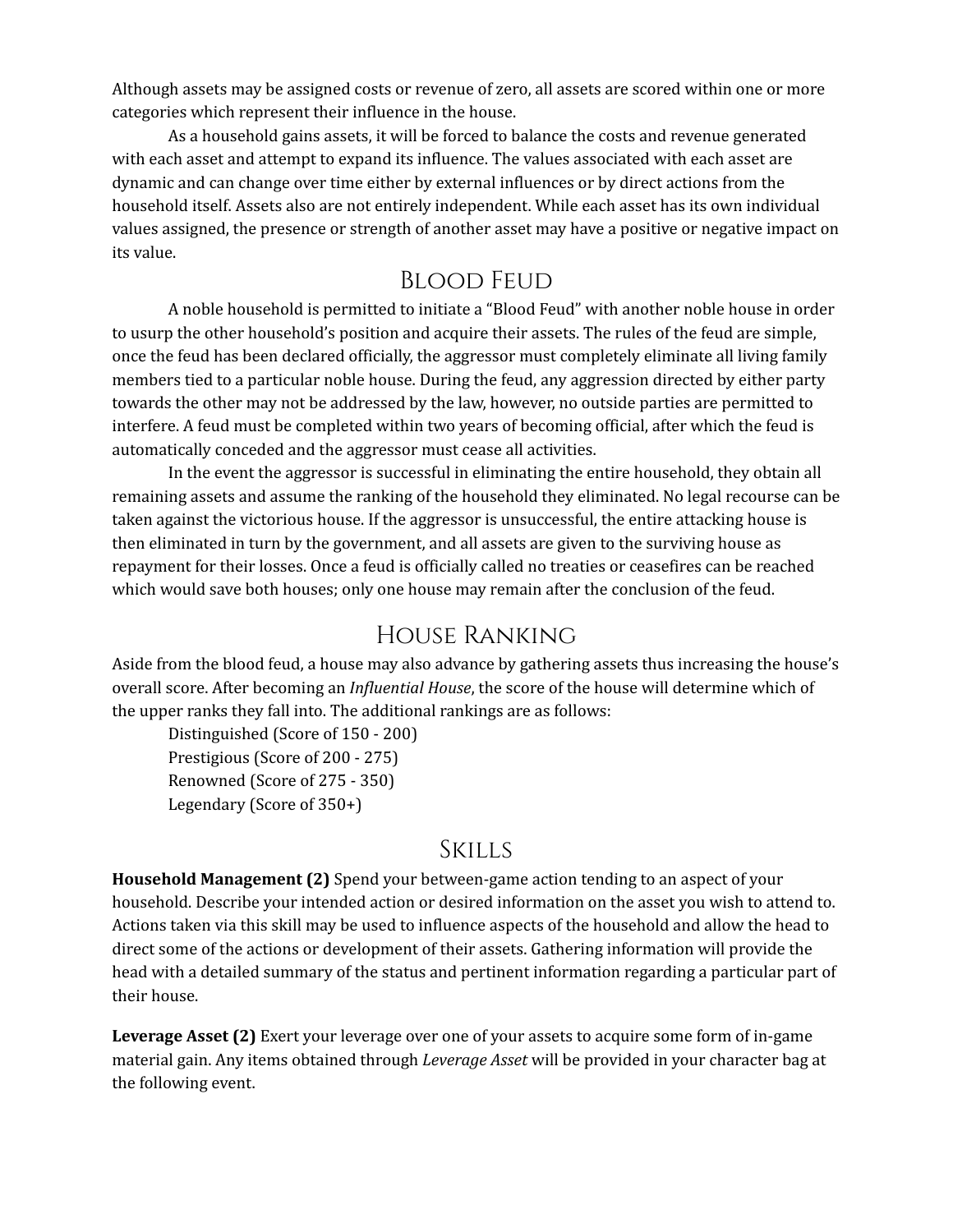Although assets may be assigned costs or revenue of zero, all assets are scored within one or more categories which represent their influence in the house.

As a household gains assets, it will be forced to balance the costs and revenue generated with each asset and attempt to expand its influence. The values associated with each asset are dynamic and can change over time either by external influences or by direct actions from the household itself. Assets also are not entirely independent. While each asset has its own individual values assigned, the presence or strength of another asset may have a positive or negative impact on its value.

### Blood Feud

A noble household is permitted to initiate a "Blood Feud" with another noble house in order to usurp the other household's position and acquire their assets. The rules of the feud are simple, once the feud has been declared officially, the aggressor must completely eliminate all living family members tied to a particular noble house. During the feud, any aggression directed by either party towards the other may not be addressed by the law, however, no outside parties are permitted to interfere. A feud must be completed within two years of becoming official, after which the feud is automatically conceded and the aggressor must cease all activities.

In the event the aggressor is successful in eliminating the entire household, they obtain all remaining assets and assume the ranking of the household they eliminated. No legal recourse can be taken against the victorious house. If the aggressor is unsuccessful, the entire attacking house is then eliminated in turn by the government, and all assets are given to the surviving house as repayment for their losses. Once a feud is officially called no treaties or ceasefires can be reached which would save both houses; only one house may remain after the conclusion of the feud.

### House Ranking

Aside from the blood feud, a house may also advance by gathering assets thus increasing the house's overall score. After becoming an *Influential House*, the score of the house will determine which of the upper ranks they fall into. The additional rankings are as follows:

Distinguished (Score of 150 - 200) Prestigious (Score of 200 - 275) Renowned (Score of 275 - 350) Legendary (Score of 350+)

#### Skills

**Household Management (2)** Spend your between-game action tending to an aspect of your household. Describe your intended action or desired information on the asset you wish to attend to. Actions taken via this skill may be used to influence aspects of the household and allow the head to direct some of the actions or development of their assets. Gathering information will provide the head with a detailed summary of the status and pertinent information regarding a particular part of their house.

**Leverage Asset (2)** Exert your leverage over one of your assets to acquire some form of in-game material gain. Any items obtained through *Leverage Asset* will be provided in your character bag at the following event.